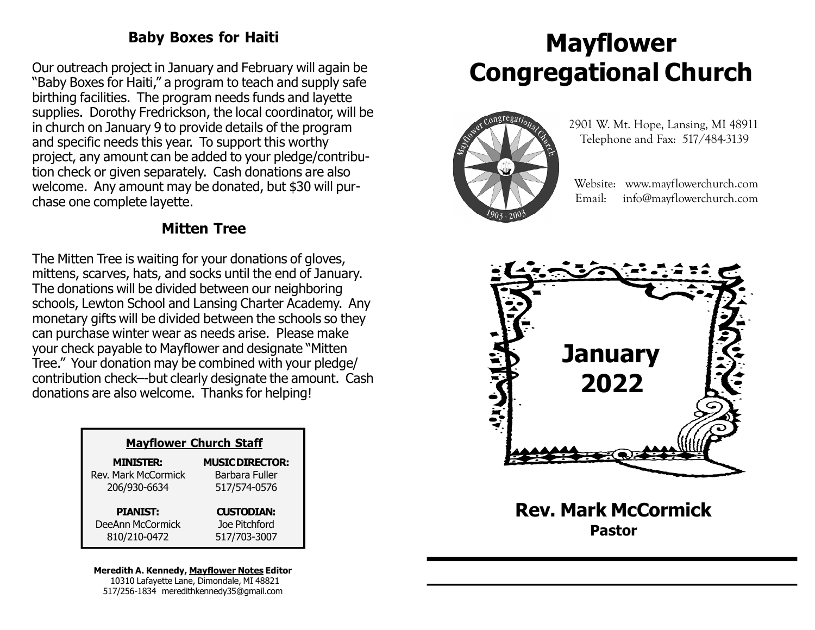### Baby Boxes for Haiti

Our outreach project in January and February will again be "Baby Boxes for Haiti," a program to teach and supply safe birthing facilities. The program needs funds and layette supplies. Dorothy Fredrickson, the local coordinator, will be in church on January 9 to provide details of the program and specific needs this year. To support this worthy project, any amount can be added to your pledge/contribution check or given separately. Cash donations are also welcome. Any amount may be donated, but \$30 will purchase one complete layette.

### Mitten Tree

The Mitten Tree is waiting for your donations of gloves, mittens, scarves, hats, and socks until the end of January. The donations will be divided between our neighboring schools, Lewton School and Lansing Charter Academy. Any monetary gifts will be divided between the schools so they can purchase winter wear as needs arise. Please make your check payable to Mayflower and designate "Mitten Tree." Your donation may be combined with your pledge/ contribution check–-but clearly designate the amount. Cash donations are also welcome. Thanks for helping!

| <b>Mayflower Church Staff</b> |                        |  |
|-------------------------------|------------------------|--|
| <b>MINISTER:</b>              | <b>MUSIC DIRECTOR:</b> |  |
| <b>Rev. Mark McCormick</b>    | Barbara Fuller         |  |
| 206/930-6634                  | 517/574-0576           |  |
| <b>PIANIST:</b>               | <b>CUSTODIAN:</b>      |  |
| DeeAnn McCormick              | Joe Pitchford          |  |
| 810/210-0472                  | 517/703-3007           |  |

#### Meredith A. Kennedy, Mayflower Notes Editor 10310 Lafayette Lane, Dimondale, MI 48821

517/256-1834 meredithkennedy35@gmail.com

# Mayflower Congregational Church



 2901 W. Mt. Hope, Lansing, MI 48911 Telephone and Fax: 517/484-3139

 Website: www.mayflowerchurch.com Email: info@mayflowerchurch.com



Rev. Mark McCormick Pastor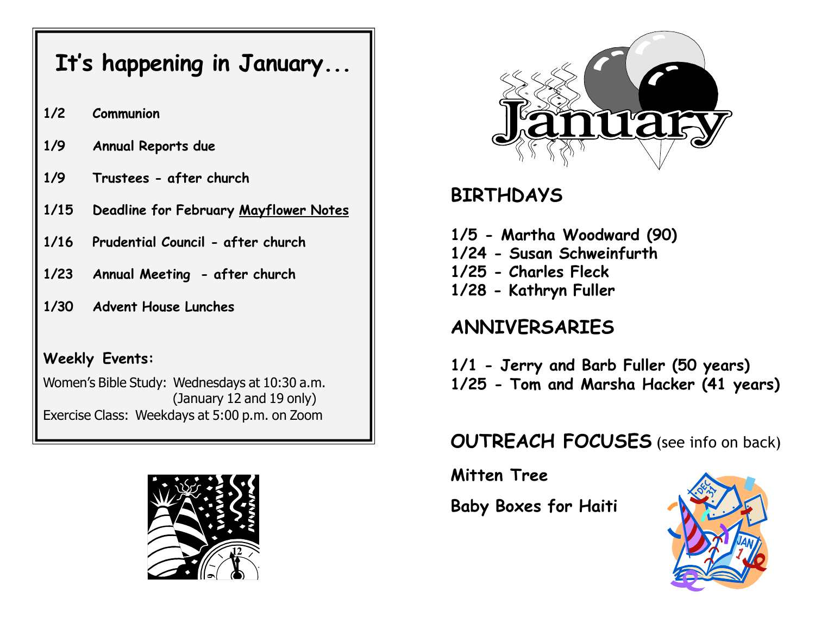# It's happening in January...

- 1/2 Communion
- 1/9 Annual Reports due
- 1/9 Trustees after church
- 1/15 Deadline for February Mayflower Notes
- 1/16 Prudential Council after church
- 1/23 Annual Meeting after church
- 1/30 Advent House Lunches

### Weekly Events:

Women's Bible Study: Wednesdays at 10:30 a.m. (January 12 and 19 only) Exercise Class: Weekdays at 5:00 p.m. on Zoom





## BIRTHDAYS

- 1/5 Martha Woodward (90)
- 1/24 Susan Schweinfurth
- 1/25 Charles Fleck
- 1/28 Kathryn Fuller

## ANNIVERSARIES

1/1 - Jerry and Barb Fuller (50 years) 1/25 - Tom and Marsha Hacker (41 years)

## OUTREACH FOCUSES (see info on back)

Mitten Tree

Baby Boxes for Haiti

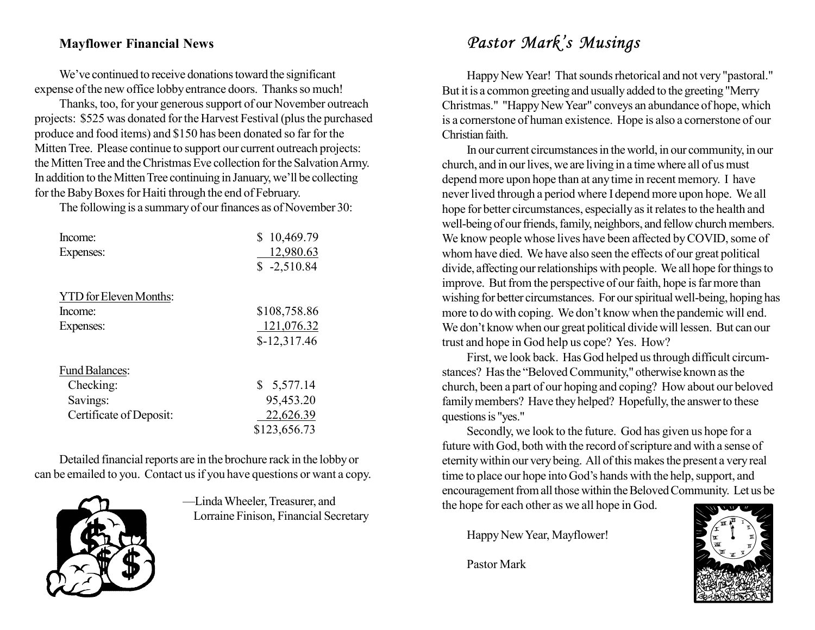### Mayflower Financial News

We've continued to receive donations toward the significant expense of the new office lobby entrance doors. Thanks so much!

Thanks, too, for your generous support of our November outreach projects: \$525 was donated for the Harvest Festival (plus the purchased produce and food items) and \$150 has been donated so far for the Mitten Tree. Please continue to support our current outreach projects: the Mitten Tree and the Christmas Eve collection for the Salvation Army. In addition to the Mitten Tree continuing in January, we'll be collecting for the Baby Boxes for Haiti through the end of February.

The following is a summary of our finances as of November 30:

| Income:<br>Expenses:          | S<br>10,469.79<br>12,980.63<br>$$ -2,510.84$ |
|-------------------------------|----------------------------------------------|
| <b>YTD</b> for Eleven Months: |                                              |
| Income:<br>Expenses:          | \$108,758.86<br>121,076.32                   |
|                               | $$-12,317.46$                                |
| <b>Fund Balances:</b>         |                                              |
| Checking:                     | \$5,577.14                                   |
| Savings:                      | 95,453.20                                    |
| Certificate of Deposit:       | 22,626.39                                    |
|                               | \$123,656.73                                 |

Detailed financial reports are in the brochure rack in the lobby or can be emailed to you. Contact us if you have questions or want a copy.



—Linda Wheeler, Treasurer, and Lorraine Finison, Financial Secretary

## Pastor Mark's Musings

Happy New Year! That sounds rhetorical and not very "pastoral." But it is a common greeting and usually added to the greeting "Merry Christmas." "Happy New Year" conveys an abundance of hope, which is a cornerstone of human existence. Hope is also a cornerstone of our Christian faith.

In our current circumstances in the world, in our community, in our church, and in our lives, we are living in a time where all of us must depend more upon hope than at any time in recent memory. I have never lived through a period where I depend more upon hope. We all hope for better circumstances, especially as it relates to the health and well-being of our friends, family, neighbors, and fellow church members. We know people whose lives have been affected by COVID, some of whom have died. We have also seen the effects of our great political divide, affecting our relationships with people. We all hope for things to improve. But from the perspective of our faith, hope is far more than wishing for better circumstances. For our spiritual well-being, hoping has more to do with coping. We don't know when the pandemic will end. We don't know when our great political divide will lessen. But can our trust and hope in God help us cope? Yes. How?

First, we look back. Has God helped us through difficult circumstances? Has the "Beloved Community," otherwise known as the church, been a part of our hoping and coping? How about our beloved family members? Have they helped? Hopefully, the answer to these questions is "yes."

Secondly, we look to the future. God has given us hope for a future with God, both with the record of scripture and with a sense of eternity within our very being. All of this makes the present a very real time to place our hope into God's hands with the help, support, and encouragement from all those within the Beloved Community. Let us be the hope for each other as we all hope in God.

Happy New Year, Mayflower!

Pastor Mark